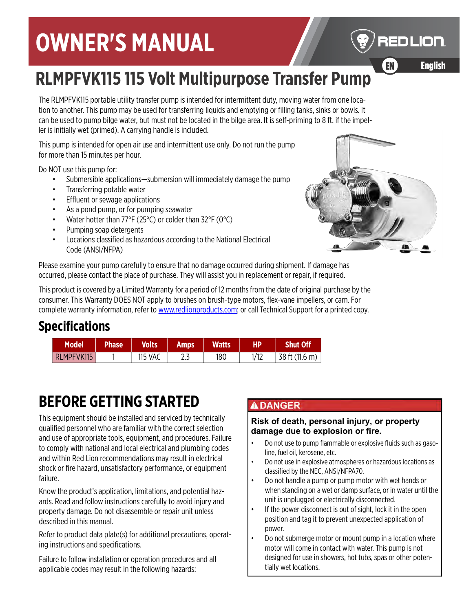# **OWNER'S MANUAL**

# **RLMPFVK115 115 Volt Multipurpose Transfer Pump**

The RLMPFVK115 portable utility transfer pump is intended for intermittent duty, moving water from one location to another. This pump may be used for transferring liquids and emptying or filling tanks, sinks or bowls. It can be used to pump bilge water, but must not be located in the bilge area. It is self-priming to 8 ft. if the impeller is initially wet (primed). A carrying handle is included.

This pump is intended for open air use and intermittent use only. Do not run the pump for more than 15 minutes per hour.

Do NOT use this pump for:

- Submersible applications-submersion will immediately damage the pump
- Transferring potable water
- Effluent or sewage applications
- As a pond pump, or for pumping seawater
- Water hotter than 77°F (25°C) or colder than 32°F (0°C)
- Pumping soap detergents
- Locations classified as hazardous according to the National Electrical Code (ANSI/NFPA)



EN English

**Enalish** 

**REDLION** 

Please examine your pump carefully to ensure that no damage occurred during shipment. If damage has occurred, please contact the place of purchase. They will assist you in replacement or repair, if required.

[This product is covered by a Limited Warranty for a period of 12 months from the date of original purchase by the](http://www.redlionproducts.com)  consumer. This Warranty DOES NOT apply to brushes on brush-type motors, flex-vane impellers, or cam. For [complete warranty information, refer to](http://www.redlionproducts.com) www.redlionproducts.com; or call Technical Support for a printed copy.

## **Specifications**

| Model      | Phase. | <b>Volts</b>   | <b>Amps</b> | <b>Watts</b> | НP   | 'Shut Off      |
|------------|--------|----------------|-------------|--------------|------|----------------|
| RLMPFVK115 |        | <b>115 VAC</b> | ر .         | 180          | 1/12 | 38 ft (11.6 m) |

# **BEFORE GETTING STARTED**

This equipment should be installed and serviced by technically qualified personnel who are familiar with the correct selection and use of appropriate tools, equipment, and procedures. Failure to comply with national and local electrical and plumbing codes and within Red Lion recommendations may result in electrical shock or fire hazard, unsatisfactory performance, or equipment failure.

Know the product's application, limitations, and potential hazards. Read and follow instructions carefully to avoid injury and property damage. Do not disassemble or repair unit unless described in this manual.

Refer to product data plate(s) for additional precautions, operating instructions and specifications.

Failure to follow installation or operation procedures and all applicable codes may result in the following hazards:

#### **ADANGER**

#### **Risk of death, personal injury, or property damage due to explosion or fire.**

- Do not use to pump flammable or explosive fluids such as gasoline, fuel oil, kerosene, etc.
- Do not use in explosive atmospheres or hazardous locations as classified by the NEC, ANSI/NFPA70.
- Do not handle a pump or pump motor with wet hands or when standing on a wet or damp surface, or in water until the unit is unplugged or electrically disconnected.
- If the power disconnect is out of sight, lock it in the open position and tag it to prevent unexpected application of power.
- Do not submerge motor or mount pump in a location where motor will come in contact with water. This pump is not designed for use in showers, hot tubs, spas or other potentially wet locations.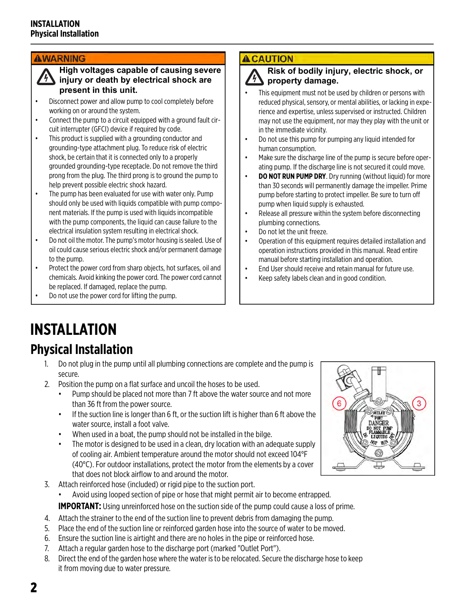#### **AWARNING**

**High voltages capable of causing severe injury or death by electrical shock are present in this unit.**

- Disconnect power and allow pump to cool completely before working on or around the system.
- Connect the pump to a circuit equipped with a ground fault circuit interrupter (GFCI) device if required by code.
- This product is supplied with a grounding conductor and grounding-type attachment plug. To reduce risk of electric shock, be certain that it is connected only to a properly grounded grounding-type receptacle. Do not remove the third prong from the plug. The third prong is to ground the pump to help prevent possible electric shock hazard.
- The pump has been evaluated for use with water only. Pump should only be used with liquids compatible with pump component materials. If the pump is used with liquids incompatible with the pump components, the liquid can cause failure to the electrical insulation system resulting in electrical shock.
- Do not oil the motor. The pump's motor housing is sealed. Use of oil could cause serious electric shock and/or permanent damage to the pump.
- Protect the power cord from sharp objects, hot surfaces, oil and chemicals. Avoid kinking the power cord. The power cord cannot be replaced. If damaged, replace the pump.
- Do not use the power cord for lifting the pump.

#### **A CAUTION**

#### **Risk of bodily injury, electric shock, or property damage.**

- This equipment must not be used by children or persons with reduced physical, sensory, or mental abilities, or lacking in experience and expertise, unless supervised or instructed. Children may not use the equipment, nor may they play with the unit or in the immediate vicinity.
- Do not use this pump for pumping any liquid intended for human consumption.
- Make sure the discharge line of the pump is secure before operating pump. If the discharge line is not secured it could move.
- **DO NOT RUN PUMP DRY.** Dry running (without liquid) for more than 30 seconds will permanently damage the impeller. Prime pump before starting to protect impeller. Be sure to turn off pump when liquid supply is exhausted.
- Release all pressure within the system before disconnecting plumbing connections.
- Do not let the unit freeze.
- Operation of this equipment requires detailed installation and operation instructions provided in this manual. Read entire manual before starting installation and operation.
- End User should receive and retain manual for future use.
- Keep safety labels clean and in good condition.

# **INSTALLATION**

## **Physical Installation**

- 1. Do not plug in the pump until all plumbing connections are complete and the pump is secure.
- 2. Position the pump on a flat surface and uncoil the hoses to be used.
	- Pump should be placed not more than 7 ft above the water source and not more than 36 ft from the power source.
	- If the suction line is longer than 6 ft, or the suction lift is higher than 6 ft above the water source, install a foot valve.
	- When used in a boat, the pump should not be installed in the bilge.
	- The motor is designed to be used in a clean, dry location with an adequate supply of cooling air. Ambient temperature around the motor should not exceed 104°F (40°C). For outdoor installations, protect the motor from the elements by a cover that does not block airflow to and around the motor.
- 3. Attach reinforced hose (included) or rigid pipe to the suction port.

• Avoid using looped section of pipe or hose that might permit air to become entrapped.

**IMPORTANT:** Using unreinforced hose on the suction side of the pump could cause a loss of prime.

- 4. Attach the strainer to the end of the suction line to prevent debris from damaging the pump.
- 5. Place the end of the suction line or reinforced garden hose into the source of water to be moved.
- 6. Ensure the suction line is airtight and there are no holes in the pipe or reinforced hose.
- 7. Attach a regular garden hose to the discharge port (marked "Outlet Port").
- 8. Direct the end of the garden hose where the water is to be relocated. Secure the discharge hose to keep it from moving due to water pressure.

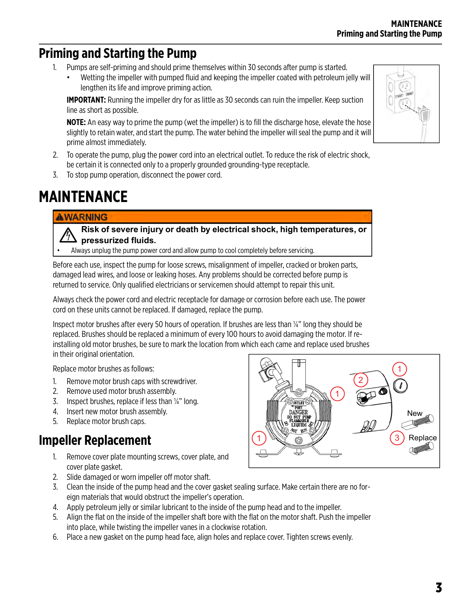## **Priming and Starting the Pump**

- 1. Pumps are self-priming and should prime themselves within 30 seconds after pump is started.
	- Wetting the impeller with pumped fluid and keeping the impeller coated with petroleum jelly will lengthen its life and improve priming action.

**IMPORTANT:** Running the impeller dry for as little as 30 seconds can ruin the impeller. Keep suction line as short as possible.

**NOTE:** An easy way to prime the pump (wet the impeller) is to fill the discharge hose, elevate the hose slightly to retain water, and start the pump. The water behind the impeller will seal the pump and it will prime almost immediately.

- 2. To operate the pump, plug the power cord into an electrical outlet. To reduce the risk of electric shock, be certain it is connected only to a properly grounded grounding-type receptacle.
- 3. To stop pump operation, disconnect the power cord.

## <span id="page-2-0"></span>**MAINTENANCE**

#### **AWARNING**

**Risk of severe injury or death by electrical shock, high temperatures, or pressurized fluids.**

Always unplug the pump power cord and allow pump to cool completely before servicing.

Before each use, inspect the pump for loose screws, misalignment of impeller, cracked or broken parts, damaged lead wires, and loose or leaking hoses. Any problems should be corrected before pump is returned to service. Only qualified electricians or servicemen should attempt to repair this unit.

Always check the power cord and electric receptacle for damage or corrosion before each use. The power cord on these units cannot be replaced. If damaged, replace the pump.

Inspect motor brushes after every 50 hours of operation. If brushes are less than ¼" long they should be replaced. Brushes should be replaced a minimum of every 100 hours to avoid damaging the motor. If reinstalling old motor brushes, be sure to mark the location from which each came and replace used brushes in their original orientation.

Replace motor brushes as follows:

- 1. Remove motor brush caps with screwdriver.
- 2. Remove used motor brush assembly.
- 3. Inspect brushes, replace if less than ¼" long.
- 4. Insert new motor brush assembly.
- 5. Replace motor brush caps.

## <span id="page-2-1"></span>**Impeller Replacement**

- 1. Remove cover plate mounting screws, cover plate, and cover plate gasket.
- 2. Slide damaged or worn impeller off motor shaft.
- 3. Clean the inside of the pump head and the cover gasket sealing surface. Make certain there are no foreign materials that would obstruct the impeller's operation.
- 4. Apply petroleum jelly or similar lubricant to the inside of the pump head and to the impeller.
- 5. Align the flat on the inside of the impeller shaft bore with the flat on the motor shaft. Push the impeller into place, while twisting the impeller vanes in a clockwise rotation.
- 6. Place a new gasket on the pump head face, align holes and replace cover. Tighten screws evenly.



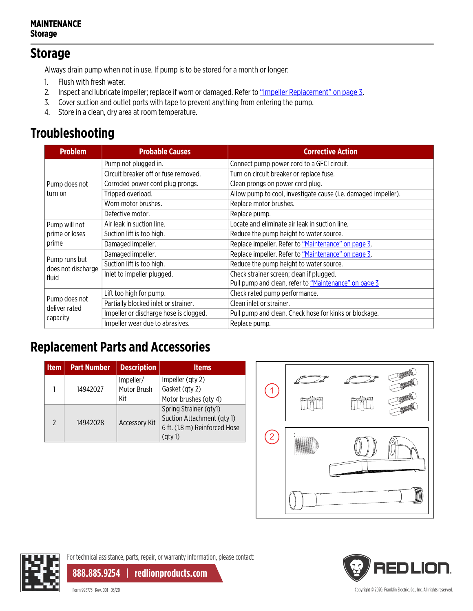#### **MAINTENANCE Storage**

#### **Storage**

Always drain pump when not in use. If pump is to be stored for a month or longer:

- 1. Flush with fresh water.
- 2. Inspect and lubricate impeller; replace if worn or damaged. Refer to ["Impeller Replacement" on page 3](#page-2-1).
- 3. Cover suction and outlet ports with tape to prevent anything from entering the pump.
- 4. Store in a clean, dry area at room temperature.

## **Troubleshooting**

| <b>Problem</b>                 | <b>Probable Causes</b>                 | <b>Corrective Action</b>                                       |  |
|--------------------------------|----------------------------------------|----------------------------------------------------------------|--|
|                                | Pump not plugged in.                   | Connect pump power cord to a GFCI circuit.                     |  |
|                                | Circuit breaker off or fuse removed.   | Turn on circuit breaker or replace fuse.                       |  |
| Pump does not                  | Corroded power cord plug prongs.       | Clean prongs on power cord plug.                               |  |
| turn on                        | Tripped overload.                      | Allow pump to cool, investigate cause (i.e. damaged impeller). |  |
|                                | Worn motor brushes.                    | Replace motor brushes.                                         |  |
|                                | Defective motor.                       | Replace pump.                                                  |  |
| Pump will not                  | Air leak in suction line.              | Locate and eliminate air leak in suction line.                 |  |
| prime or loses<br>prime        | Suction lift is too high.              | Reduce the pump height to water source.                        |  |
|                                | Damaged impeller.                      | Replace impeller. Refer to "Maintenance" on page 3.            |  |
|                                | Damaged impeller.                      | Replace impeller. Refer to "Maintenance" on page 3.            |  |
| Pump runs but                  | Suction lift is too high.              | Reduce the pump height to water source.                        |  |
| does not discharge<br>fluid    | Inlet to impeller plugged.             | Check strainer screen; clean if plugged.                       |  |
|                                |                                        | Pull pump and clean, refer to "Maintenance" on page 3          |  |
|                                | Lift too high for pump.                | Check rated pump performance.                                  |  |
| Pump does not<br>deliver rated | Partially blocked inlet or strainer.   | Clean inlet or strainer.                                       |  |
| capacity                       | Impeller or discharge hose is clogged. | Pull pump and clean. Check hose for kinks or blockage.         |  |
|                                | Impeller wear due to abrasives.        | Replace pump.                                                  |  |

## **Replacement Parts and Accessories**

| <b>Item</b>   | <b>Part Number</b> | <b>Description</b>              | <b>Items</b>                                                                                     |
|---------------|--------------------|---------------------------------|--------------------------------------------------------------------------------------------------|
|               | 14942027           | Impeller/<br>Motor Brush<br>Kit | Impeller (qty 2)<br>Gasket (qty 2)<br>Motor brushes (qty 4)                                      |
| $\mathcal{P}$ | 14942028           | <b>Accessory Kit</b>            | Spring Strainer (qtyl)<br>Suction Attachment (qty 1)<br>6 ft. (1.8 m) Reinforced Hose<br>(aty 1) |





For technical assistance, parts, repair, or warranty information, please contact:

**888.885.9254** | **redlionproducts.com**



Form 998773 Rev. 001 03/20 Copyright © 2020, Franklin Electric, Co., Inc. All rights reserved.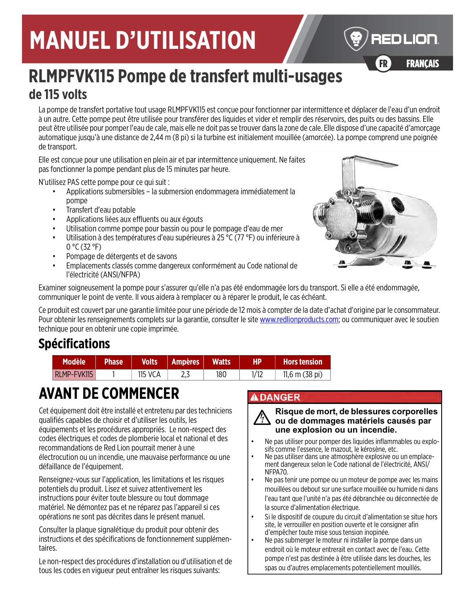# **MANUEL D'UTILISATION**



**FRANCAIS** FR FRANÇAIS

# **RLMPFVK115 Pompe de transfert multi-usages de 115 volts**

La pompe de transfert portative tout usage RLMPFVK115 est conçue pour fonctionner par intermittence et déplacer de l'eau d'un endroit à un autre. Cette pompe peut être utilisée pour transférer des liquides et vider et remplir des réservoirs, des puits ou des bassins. Elle peut être utilisée pour pomper l'eau de cale, mais elle ne doit pas se trouver dans la zone de cale. Elle dispose d'une capacité d'amorçage automatique jusqu'à une distance de 2,44 m (8 pi) si la turbine est initialement mouillée (amorcée). La pompe comprend une poignée de transport.

Elle est conçue pour une utilisation en plein air et par intermittence uniquement. Ne faites pas fonctionner la pompe pendant plus de 15 minutes par heure.

N'utilisez PAS cette pompe pour ce qui suit :

- Applications submersibles la submersion endommagera immédiatement la pompe
- Transfert d'eau potable
- Applications liées aux effluents ou aux égouts
- Utilisation comme pompe pour bassin ou pour le pompage d'eau de mer
- Utilisation à des températures d'eau supérieures à 25 °C (77 °F) ou inférieure à  $0 °C (32 °F)$
- Pompage de détergents et de savons
- Emplacements classés comme dangereux conformément au Code national de l'électricité (ANSI/NFPA)



Examiner soigneusement la pompe pour s'assurer qu'elle n'a pas été endommagée lors du transport. Si elle a été endommagée, communiquer le point de vente. Il vous aidera à remplacer ou à réparer le produit, le cas échéant.

[Ce produit est couvert par une garantie limitée pour une période de 12 mois à compter de la date d'achat d'origine par le consommateur.](http://www.redlionproducts.com)  [Pour obtenir les renseignements complets sur la garantie, consulter le site w](http://www.redlionproducts.com)ww.redlionproducts.com; ou communiquer avec le soutien technique pour en obtenir une copie imprimée.

## **Spécifications**

| <b>Modèle</b>      | <b>Phase</b> | <b>Volts</b> | <b>Ampères</b> | <b>Watts</b> | <b>Hors tension</b>              |
|--------------------|--------------|--------------|----------------|--------------|----------------------------------|
| <b>RLMP-FVK115</b> |              | 115 VCA      |                | 180          | $11,6 \text{ m} (38 \text{ pi})$ |

# **AVANT DE COMMENCER**

Cet équipement doit être installé et entretenu par des techniciens qualifiés capables de choisir et d'utiliser les outils, les équipements et les procédures appropriés. Le non-respect des codes électriques et codes de plomberie local et national et des recommandations de Red Lion pourrait mener à une électrocution ou un incendie, une mauvaise performance ou une défaillance de l'équipement.

Renseignez-vous sur l'application, les limitations et les risques potentiels du produit. Lisez et suivez attentivement les instructions pour éviter toute blessure ou tout dommage matériel. Ne démontez pas et ne réparez pas l'appareil si ces opérations ne sont pas décrites dans le présent manuel.

Consulter la plaque signalétique du produit pour obtenir des instructions et des spécifications de fonctionnement supplémentaires.

Le non-respect des procédures d'installation ou d'utilisation et de tous les codes en vigueur peut entraîner les risques suivants:

#### **ADANGER**



#### **Risque de mort, de blessures corporelles ou de dommages matériels causés par une explosion ou un incendie.**

- Ne pas utiliser pour pomper des liquides inflammables ou explosifs comme l'essence, le mazout, le kérosène, etc.
- Ne pas utiliser dans une atmosphère explosive ou un emplacement dangereux selon le Code national de l'électricité, ANSI/ NFPA70.
- Ne pas tenir une pompe ou un moteur de pompe avec les mains mouillées ou debout sur une surface mouillée ou humide ni dans l'eau tant que l'unité n'a pas été débranchée ou déconnectée de la source d'alimentation électrique.
- Si le dispositif de coupure du circuit d'alimentation se situe hors site, le verrouiller en position ouverte et le consigner afin d'empêcher toute mise sous tension inopinée.
- Ne pas submerger le moteur ni installer la pompe dans un endroit où le moteur entrerait en contact avec de l'eau. Cette pompe n'est pas destinée à être utilisée dans les douches, les spas ou d'autres emplacements potentiellement mouillés.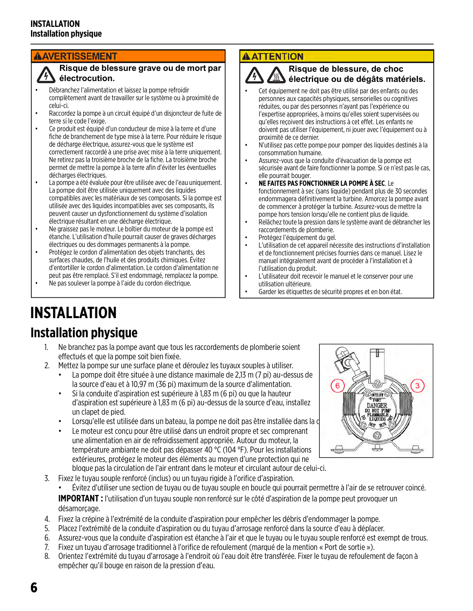#### **AAVERTISSEMENT**

#### **Risque de blessure grave ou de mort par électrocution.**

- Débranchez l'alimentation et laissez la pompe refroidir complètement avant de travailler sur le système ou à proximité de celui-ci.
- Raccordez la pompe à un circuit équipé d'un disjoncteur de fuite de terre si le code l'exige.
- Ce produit est équipé d'un conducteur de mise à la terre et d'une fiche de branchement de type mise à la terre. Pour réduire le risque de décharge électrique, assurez-vous que le système est correctement raccordé à une prise avec mise à la terre uniquement. Ne retirez pas la troisième broche de la fiche. La troisième broche permet de mettre la pompe à la terre afin d'éviter les éventuelles décharges électriques.
- La pompe a été évaluée pour être utilisée avec de l'eau uniquement. La pompe doit être utilisée uniquement avec des liquides compatibles avec les matériaux de ses composants. Si la pompe est utilisée avec des liquides incompatibles avec ses composants, ils peuvent causer un dysfonctionnement du système d'isolation électrique résultant en une décharge électrique.
- Ne graissez pas le moteur. Le boîtier du moteur de la pompe est étanche. L'utilisation d'huile pourrait causer de graves décharges électriques ou des dommages permanents à la pompe.
- Protégez le cordon d'alimentation des objets tranchants, des surfaces chaudes, de l'huile et des produits chimiques. Évitez d'entortiller le cordon d'alimentation. Le cordon d'alimentation ne peut pas être remplacé. S'il est endommagé, remplacez la pompe.
- Ne pas soulever la pompe à l'aide du cordon électrique.

#### **AATTENTION**

#### **Risque de blessure, de choc électrique ou de dégâts matériels.**

- Cet équipement ne doit pas être utilisé par des enfants ou des personnes aux capacités physiques, sensorielles ou cognitives réduites, ou par des personnes n'ayant pas l'expérience ou l'expertise appropriées, à moins qu'elles soient supervisées ou qu'elles reçoivent des instructions à cet effet. Les enfants ne doivent pas utiliser l'équipement, ni jouer avec l'équipement ou à proximité de ce dernier.
- N'utilisez pas cette pompe pour pomper des liquides destinés à la consommation humaine.
- Assurez-vous que la conduite d'évacuation de la pompe est sécurisée avant de faire fonctionner la pompe. Si ce n'est pas le cas, elle pourrait bouger.
- **NE FAITES PAS FONCTIONNER LA POMPE À SEC**. Le fonctionnement à sec (sans liquide) pendant plus de 30 secondes endommagera définitivement la turbine. Amorcez la pompe avant de commencer à protéger la turbine. Assurez-vous de mettre la pompe hors tension lorsqu'elle ne contient plus de liquide.
- Relâchez toute la pression dans le système avant de débrancher les raccordements de plomberie.
- Protégez l'équipement du gel.
- L'utilisation de cet appareil nécessite des instructions d'installation et de fonctionnement précises fournies dans ce manuel. Lisez le manuel intégralement avant de procéder à l'installation et à l'utilisation du produit.
- L'utilisateur doit recevoir le manuel et le conserver pour une utilisation ultérieure.
- Garder les étiquettes de sécurité propres et en bon état.

# **INSTALLATION**

## **Installation physique**

- 1. Ne branchez pas la pompe avant que tous les raccordements de plomberie soient effectués et que la pompe soit bien fixée.
- 2. Mettez la pompe sur une surface plane et déroulez les tuyaux souples à utiliser.
	- La pompe doit être située à une distance maximale de 2,13 m (7 pi) au-dessus de la source d'eau et à 10,97 m (36 pi) maximum de la source d'alimentation.
	- Si la conduite d'aspiration est supérieure à 1,83 m (6 pi) ou que la hauteur d'aspiration est supérieure à 1,83 m (6 pi) au-dessus de la source d'eau, installez un clapet de pied.
	- Lorsqu'elle est utilisée dans un bateau, la pompe ne doit pas être installée dans la c
	- Le moteur est conçu pour être utilisé dans un endroit propre et sec comprenant une alimentation en air de refroidissement appropriée. Autour du moteur, la température ambiante ne doit pas dépasser 40 °C (104 °F). Pour les installations extérieures, protégez le moteur des éléments au moyen d'une protection qui ne bloque pas la circulation de l'air entrant dans le moteur et circulant autour de celui-ci.
- 3. Fixez le tuyau souple renforcé (inclus) ou un tuyau rigide à l'orifice d'aspiration.
	- Évitez d'utiliser une section de tuyau ou de tuyau souple en boucle qui pourrait permettre à l'air de se retrouver coincé.

**IMPORTANT :** l'utilisation d'un tuyau souple non renforcé sur le côté d'aspiration de la pompe peut provoquer un désamorçage.

- 4. Fixez la crépine à l'extrémité de la conduite d'aspiration pour empêcher les débris d'endommager la pompe.
- 5. Placez l'extrémité de la conduite d'aspiration ou du tuyau d'arrosage renforcé dans la source d'eau à déplacer.
- 6. Assurez-vous que la conduite d'aspiration est étanche à l'air et que le tuyau ou le tuyau souple renforcé est exempt de trous.
- 7. Fixez un tuyau d'arrosage traditionnel à l'orifice de refoulement (marqué de la mention « Port de sortie »).
- 8. Orientez l'extrémité du tuyau d'arrosage à l'endroit où l'eau doit être transférée. Fixer le tuyau de refoulement de façon à empêcher qu'il bouge en raison de la pression d'eau.

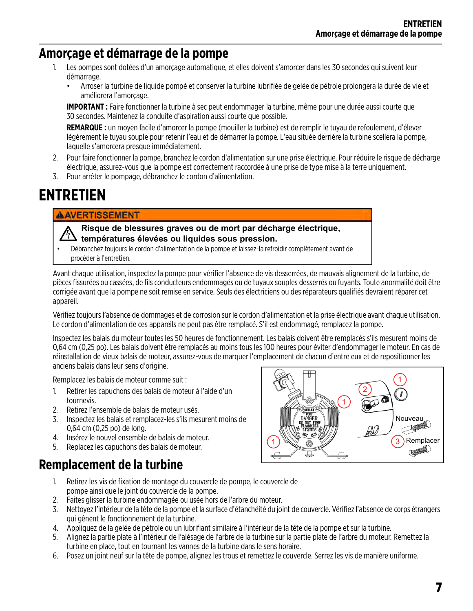### **Amorçage et démarrage de la pompe**

- 1. Les pompes sont dotées d'un amorçage automatique, et elles doivent s'amorcer dans les 30 secondes qui suivent leur démarrage.
	- Arroser la turbine de liquide pompé et conserver la turbine lubrifiée de gelée de pétrole prolongera la durée de vie et améliorera l'amorçage.

**IMPORTANT :** Faire fonctionner la turbine à sec peut endommager la turbine, même pour une durée aussi courte que 30 secondes. Maintenez la conduite d'aspiration aussi courte que possible.

**REMARQUE :** un moyen facile d'amorcer la pompe (mouiller la turbine) est de remplir le tuyau de refoulement, d'élever légèrement le tuyau souple pour retenir l'eau et de démarrer la pompe. L'eau située derrière la turbine scellera la pompe, laquelle s'amorcera presque immédiatement.

- 2. Pour faire fonctionner la pompe, branchez le cordon d'alimentation sur une prise électrique. Pour réduire le risque de décharge électrique, assurez-vous que la pompe est correctement raccordée à une prise de type mise à la terre uniquement.
- 3. Pour arrêter le pompage, débranchez le cordon d'alimentation.

# **ENTRETIEN**

**AAVERTISSEMENT** 

#### **Risque de blessures graves ou de mort par décharge électrique,**

- **températures élevées ou liquides sous pression.**
- Débranchez toujours le cordon d'alimentation de la pompe et laissez-la refroidir complètement avant de procéder à l'entretien.

Avant chaque utilisation, inspectez la pompe pour vérifier l'absence de vis desserrées, de mauvais alignement de la turbine, de pièces fissurées ou cassées, de fils conducteurs endommagés ou de tuyaux souples desserrés ou fuyants. Toute anormalité doit être corrigée avant que la pompe ne soit remise en service. Seuls des électriciens ou des réparateurs qualifiés devraient réparer cet appareil.

Vérifiez toujours l'absence de dommages et de corrosion sur le cordon d'alimentation et la prise électrique avant chaque utilisation. Le cordon d'alimentation de ces appareils ne peut pas être remplacé. S'il est endommagé, remplacez la pompe.

Inspectez les balais du moteur toutes les 50 heures de fonctionnement. Les balais doivent être remplacés s'ils mesurent moins de 0,64 cm (0,25 po). Les balais doivent être remplacés au moins tous les 100 heures pour éviter d'endommager le moteur. En cas de réinstallation de vieux balais de moteur, assurez-vous de marquer l'emplacement de chacun d'entre eux et de repositionner les anciens balais dans leur sens d'origine.

Remplacez les balais de moteur comme suit :

- 1. Retirer les capuchons des balais de moteur à l'aide d'un tournevis.
- 2. Retirez l'ensemble de balais de moteur usés.
- 3. Inspectez les balais et remplacez-les s'ils mesurent moins de 0,64 cm (0,25 po) de long.
- 4. Insérez le nouvel ensemble de balais de moteur.
- 5. Replacez les capuchons des balais de moteur.

## **Remplacement de la turbine**

- 1. Retirez les vis de fixation de montage du couvercle de pompe, le couvercle de pompe ainsi que le joint du couvercle de la pompe.
- 2. Faites glisser la turbine endommagée ou usée hors de l'arbre du moteur.
- 3. Nettoyez l'intérieur de la tête de la pompe et la surface d'étanchéité du joint de couvercle. Vérifiez l'absence de corps étrangers qui gênent le fonctionnement de la turbine.
- 4. Appliquez de la gelée de pétrole ou un lubrifiant similaire à l'intérieur de la tête de la pompe et sur la turbine.
- 5. Alignez la partie plate à l'intérieur de l'alésage de l'arbre de la turbine sur la partie plate de l'arbre du moteur. Remettez la turbine en place, tout en tournant les vannes de la turbine dans le sens horaire.
- 6. Posez un joint neuf sur la tête de pompe, alignez les trous et remettez le couvercle. Serrez les vis de manière uniforme.

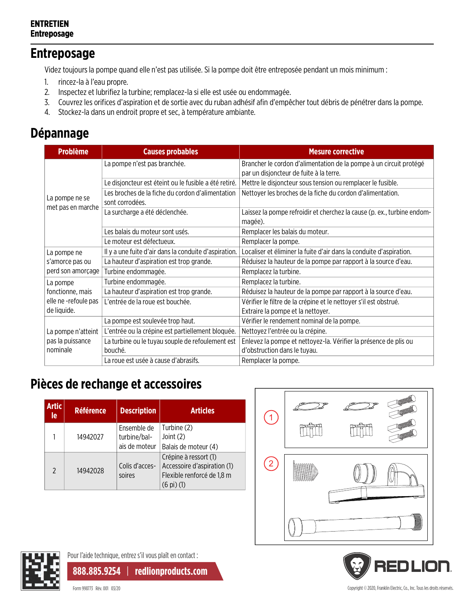#### **ENTRETIEN Entreposage**

## **Entreposage**

Videz toujours la pompe quand elle n'est pas utilisée. Si la pompe doit être entreposée pendant un mois minimum :

- 1. rincez-la à l'eau propre.
- 2. Inspectez et lubrifiez la turbine; remplacez-la si elle est usée ou endommagée.
- 3. Couvrez les orifices d'aspiration et de sortie avec du ruban adhésif afin d'empêcher tout débris de pénétrer dans la pompe.
- 4. Stockez-la dans un endroit propre et sec, à température ambiante.

## **Dépannage**

| <b>Problème</b>      | <b>Causes probables</b>                                             | <b>Mesure corrective</b>                                                                                      |
|----------------------|---------------------------------------------------------------------|---------------------------------------------------------------------------------------------------------------|
|                      | La pompe n'est pas branchée.                                        | Brancher le cordon d'alimentation de la pompe à un circuit protégé<br>par un disjoncteur de fuite à la terre. |
|                      | Le disjoncteur est éteint ou le fusible a été retiré.               | Mettre le disjoncteur sous tension ou remplacer le fusible.                                                   |
| La pompe ne se       | Les broches de la fiche du cordon d'alimentation<br>sont corrodées. | Nettoyer les broches de la fiche du cordon d'alimentation.                                                    |
| met pas en marche    | La surcharge a été déclenchée.                                      | Laissez la pompe refroidir et cherchez la cause (p. ex., turbine endom-<br>magée).                            |
|                      | Les balais du moteur sont usés.                                     | Remplacer les balais du moteur.                                                                               |
|                      | Le moteur est défectueux.                                           | Remplacer la pompe.                                                                                           |
| La pompe ne          | Il y a une fuite d'air dans la conduite d'aspiration.               | Localiser et éliminer la fuite d'air dans la conduite d'aspiration.                                           |
| s'amorce pas ou      | La hauteur d'aspiration est trop grande.                            | Réduisez la hauteur de la pompe par rapport à la source d'eau.                                                |
| perd son amorçage    | Turbine endommagée.                                                 | Remplacez la turbine.                                                                                         |
| La pompe             | Turbine endommagée.                                                 | Remplacez la turbine.                                                                                         |
| fonctionne, mais     | La hauteur d'aspiration est trop grande.                            | Réduisez la hauteur de la pompe par rapport à la source d'eau.                                                |
| elle ne -refoule pas | L'entrée de la roue est bouchée.                                    | Vérifier le filtre de la crépine et le nettoyer s'il est obstrué.                                             |
| de liquide.          |                                                                     | Extraire la pompe et la nettoyer.                                                                             |
|                      | La pompe est soulevée trop haut.                                    | Vérifier le rendement nominal de la pompe.                                                                    |
| La pompe n'atteint   | L'entrée ou la crépine est partiellement bloquée.                   | Nettoyez l'entrée ou la crépine.                                                                              |
| pas la puissance     | La turbine ou le tuyau souple de refoulement est                    | Enlevez la pompe et nettoyez-la. Vérifier la présence de plis ou                                              |
| nominale             | bouché.                                                             | d'obstruction dans le tuyau.                                                                                  |
|                      | La roue est usée à cause d'abrasifs.                                | Remplacer la pompe.                                                                                           |

## **Pièces de rechange et accessoires**

| <b>Artic</b><br>le. | <b>Référence</b> | <b>Description</b>                           | <b>Articles</b>                                                                                  |
|---------------------|------------------|----------------------------------------------|--------------------------------------------------------------------------------------------------|
|                     | 14942027         | Ensemble de<br>turbine/bal-<br>ais de moteur | Turbine (2)<br>Joint (2)<br>Balais de moteur (4)                                                 |
| $\mathfrak{p}$      | 14942028         | Colis d'acces-<br>soires                     | Crépine à ressort (1)<br>Accessoire d'aspiration (1)<br>Flexible renforcé de 1,8 m<br>(6 pi) (1) |







Pour l'aide technique, entrez s'il vous plaît en contact :

**888.885.9254** | **redlionproducts.com**

Form 998773 Rév. 001 03/20 Copyright © 2020, Franklin Electric, Co., Inc. Tous les droits réservés.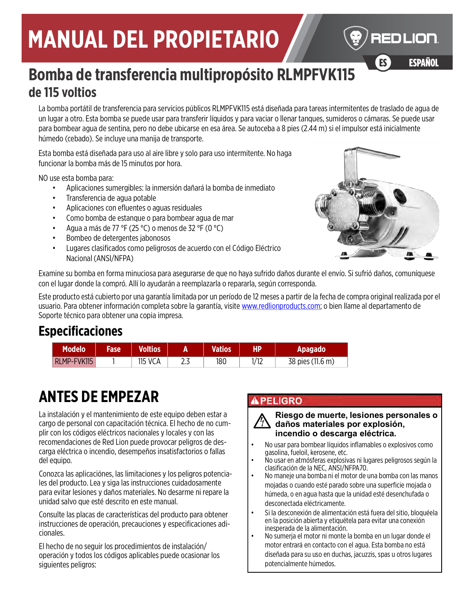# **MANUAL DEL PROPIETARIO**



ESPAÑOL ES ESPAÑOL

# **Bomba de transferencia multipropósito RLMPFVK115 de 115 voltios**

La bomba portátil de transferencia para servicios públicos RLMPFVK115 está diseñada para tareas intermitentes de traslado de agua de un lugar a otro. Esta bomba se puede usar para transferir líquidos y para vaciar o llenar tanques, sumideros o cámaras. Se puede usar para bombear agua de sentina, pero no debe ubicarse en esa área. Se autoceba a 8 pies (2.44 m) si el impulsor está inicialmente húmedo (cebado). Se incluye una manija de transporte.

Esta bomba está diseñada para uso al aire libre y solo para uso intermitente. No haga funcionar la bomba más de 15 minutos por hora.

NO use esta bomba para:

- Aplicaciones sumergibles: la inmersión dañará la bomba de inmediato
- Transferencia de agua potable
- Aplicaciones con efluentes o aguas residuales
- Como bomba de estanque o para bombear agua de mar
- Agua a más de 77 °F (25 °C) o menos de 32 °F (0 °C)
- Bombeo de detergentes jabonosos
- Lugares clasificados como peligrosos de acuerdo con el Código Eléctrico Nacional (ANSI/NFPA)



Examine su bomba en forma minuciosa para asegurarse de que no haya sufrido daños durante el envío. Si sufrió daños, comuníquese con el lugar donde la compró. Allí lo ayudarán a reemplazarla o repararla, según corresponda.

[Este producto está cubierto por una garantía limitada por un período de 12 meses a partir de la fecha de compra original realizada por el](http://www.redlionproducts.com)  [usuario. Para obtener información completa sobre la garantía, visite w](http://www.redlionproducts.com)ww.redlionproducts.com; o bien llame al departamento de Soporte técnico para obtener una copia impresa.

## **Especificaciones**

| <b>Modelo</b> | <b>Fase</b> | <b>Voltios</b> | A | <b>Vatios</b> | HP   | <b>Apagado</b>   |
|---------------|-------------|----------------|---|---------------|------|------------------|
| RLMP-FVK115   |             | <b>115 VCA</b> | ت | 180           | 1/12 | 38 pies (11.6 m) |

# **ANTES DE EMPEZAR**

La instalación y el mantenimiento de este equipo deben estar a cargo de personal con capacitación técnica. El hecho de no cumplir con los códigos eléctricos nacionales y locales y con las recomendaciones de Red Lion puede provocar peligros de descarga eléctrica o incendio, desempeños insatisfactorios o fallas del equipo.

Conozca las aplicaciónes, las limitaciones y los peligros potenciales del producto. Lea y siga las instrucciones cuidadosamente para evitar lesiones y daños materiales. No desarme ni repare la unidad salvo que esté descrito en este manual.

Consulte las placas de características del producto para obtener instrucciones de operación, precauciones y especificaciones adicionales.

El hecho de no seguir los procedimientos de instalación/ operación y todos los códigos aplicables puede ocasionar los siguientes peligros:

#### **A PELIGRO**

**Riesgo de muerte, lesiones personales o daños materiales por explosión, incendio o descarga eléctrica.**

- No usar para bombear líquidos inflamables o explosivos como gasolina, fueloil, kerosene, etc.
- No usar en atmósferas explosivas ni lugares peligrosos según la clasificación de la NEC, ANSI/NFPA70.
- No maneje una bomba ni el motor de una bomba con las manos mojadas o cuando esté parado sobre una superficie mojada o húmeda, o en agua hasta que la unidad esté desenchufada o desconectada eléctricamente.
- Si la desconexión de alimentación está fuera del sitio, bloquéela en la posición abierta y etiquétela para evitar una conexión inesperada de la alimentación.
- No sumerja el motor ni monte la bomba en un lugar donde el motor entrará en contacto con el agua. Esta bomba no está diseñada para su uso en duchas, jacuzzis, spas u otros lugares potencialmente húmedos.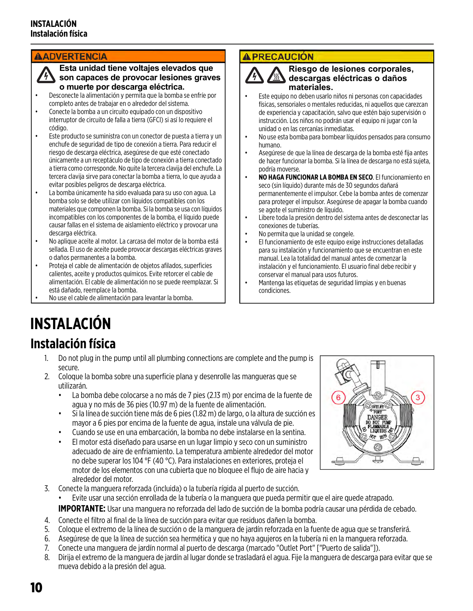#### **AADVERTENCIA**

#### **Esta unidad tiene voltajes elevados que son capaces de provocar lesiones graves o muerte por descarga eléctrica.**

- Desconecte la alimentación y permita que la bomba se enfríe por completo antes de trabajar en o alrededor del sistema.
- Conecte la bomba a un circuito equipado con un dispositivo interruptor de circuito de falla a tierra (GFCI) si así lo requiere el código.
- Este producto se suministra con un conector de puesta a tierra y un enchufe de seguridad de tipo de conexión a tierra. Para reducir el riesgo de descarga eléctrica, asegúrese de que esté conectado únicamente a un receptáculo de tipo de conexión a tierra conectado a tierra como corresponde. No quite la tercera clavija del enchufe. La tercera clavija sirve para conectar la bomba a tierra, lo que ayuda a evitar posibles peligros de descarga eléctrica.
- La bomba únicamente ha sido evaluada para su uso con agua. La bomba solo se debe utilizar con líquidos compatibles con los materiales que componen la bomba. Si la bomba se usa con líquidos incompatibles con los componentes de la bomba, el líquido puede causar fallas en el sistema de aislamiento eléctrico y provocar una descarga eléctrica.
- No aplique aceite al motor. La carcasa del motor de la bomba está sellada. El uso de aceite puede provocar descargas eléctricas graves o daños permanentes a la bomba.
- Proteja el cable de alimentación de objetos afilados, superficies calientes, aceite y productos químicos. Evite retorcer el cable de alimentación. El cable de alimentación no se puede reemplazar. Si está dañado, reemplace la bomba.
- No use el cable de alimentación para levantar la bomba.

#### **A PRECAUCIÓN**



#### **Riesgo de lesiones corporales, descargas eléctricas o daños materiales.**

- Este equipo no deben usarlo niños ni personas con capacidades físicas, sensoriales o mentales reducidas, ni aquellos que carezcan de experiencia y capacitación, salvo que estén bajo supervisión o instrucción. Los niños no podrán usar el equipo ni jugar con la unidad o en las cercanías inmediatas.
- No use esta bomba para bombear líquidos pensados para consumo humano.
- Asegúrese de que la línea de descarga de la bomba esté fija antes de hacer funcionar la bomba. Si la línea de descarga no está sujeta, podría moverse.
- **NO HAGA FUNCIONAR LA BOMBA EN SECO**. El funcionamiento en seco (sin líquido) durante más de 30 segundos dañará permanentemente el impulsor. Cebe la bomba antes de comenzar para proteger el impulsor. Asegúrese de apagar la bomba cuando se agote el suministro de líquido.
- Libere toda la presión dentro del sistema antes de desconectar las conexiones de tuberías.
- No permita que la unidad se congele.
- El funcionamiento de este equipo exige instrucciones detalladas para su instalación y funcionamiento que se encuentran en este manual. Lea la totalidad del manual antes de comenzar la instalación y el funcionamiento. El usuario final debe recibir y conservar el manual para usos futuros.
- Mantenga las etiquetas de seguridad limpias y en buenas condiciones.

# **INSTALACIÓN**

## **Instalación física**

- 1. Do not plug in the pump until all plumbing connections are complete and the pump is secure.
- 2. Coloque la bomba sobre una superficie plana y desenrolle las mangueras que se utilizarán.
	- La bomba debe colocarse a no más de 7 pies (2.13 m) por encima de la fuente de agua y no más de 36 pies (10.97 m) de la fuente de alimentación.
	- Si la línea de succión tiene más de 6 pies (1.82 m) de largo, o la altura de succión es mayor a 6 pies por encima de la fuente de agua, instale una válvula de pie.
	- Cuando se use en una embarcación, la bomba no debe instalarse en la sentina.
	- El motor está diseñado para usarse en un lugar limpio y seco con un suministro adecuado de aire de enfriamiento. La temperatura ambiente alrededor del motor no debe superar los 104 °F (40 °C). Para instalaciones en exteriores, proteja el motor de los elementos con una cubierta que no bloquee el flujo de aire hacia y alrededor del motor.
- 3. Conecte la manguera reforzada (incluida) o la tubería rígida al puerto de succión.
	- Evite usar una sección enrollada de la tubería o la manguera que pueda permitir que el aire quede atrapado.

**IMPORTANTE:** Usar una manguera no reforzada del lado de succión de la bomba podría causar una pérdida de cebado.

- 4. Conecte el filtro al final de la línea de succión para evitar que residuos dañen la bomba.
- 5. Coloque el extremo de la línea de succión o de la manguera de jardín reforzada en la fuente de agua que se transferirá.
- 6. Asegúrese de que la línea de succión sea hermética y que no haya agujeros en la tubería ni en la manguera reforzada.
- 7. Conecte una manguera de jardín normal al puerto de descarga (marcado "Outlet Port" ["Puerto de salida"]).
- 8. Dirija el extremo de la manguera de jardín al lugar donde se trasladará el agua. Fije la manguera de descarga para evitar que se mueva debido a la presión del agua.

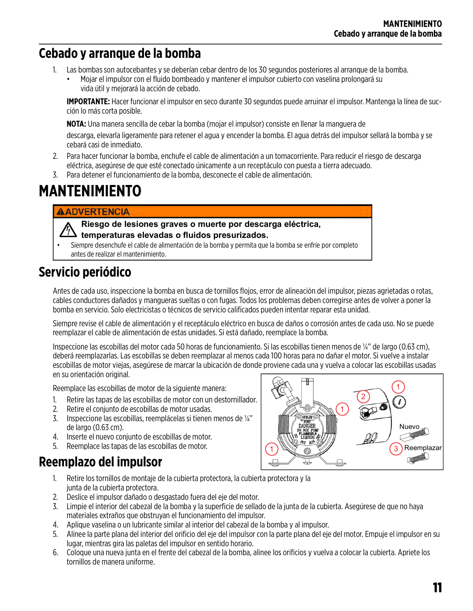## **Cebado y arranque de la bomba**

- 1. Las bombas son autocebantes y se deberían cebar dentro de los 30 segundos posteriores al arranque de la bomba.
	- Mojar el impulsor con el fluido bombeado y mantener el impulsor cubierto con vaselina prolongará su vida útil y mejorará la acción de cebado.

**IMPORTANTE:** Hacer funcionar el impulsor en seco durante 30 segundos puede arruinar el impulsor. Mantenga la línea de succión lo más corta posible.

**NOTA:** Una manera sencilla de cebar la bomba (mojar el impulsor) consiste en llenar la manguera de

descarga, elevarla ligeramente para retener el agua y encender la bomba. El agua detrás del impulsor sellará la bomba y se cebará casi de inmediato.

- 2. Para hacer funcionar la bomba, enchufe el cable de alimentación a un tomacorriente. Para reducir el riesgo de descarga eléctrica, asegúrese de que esté conectado únicamente a un receptáculo con puesta a tierra adecuado.
- 3. Para detener el funcionamiento de la bomba, desconecte el cable de alimentación.

## **MANTENIMIENTO**

#### **AADVERTENCIA**

**Riesgo de lesiones graves o muerte por descarga eléctrica, temperaturas elevadas o fluidos presurizados.**

• Siempre desenchufe el cable de alimentación de la bomba y permita que la bomba se enfríe por completo antes de realizar el mantenimiento.

## **Servicio periódico**

Antes de cada uso, inspeccione la bomba en busca de tornillos flojos, error de alineación del impulsor, piezas agrietadas o rotas, cables conductores dañados y mangueras sueltas o con fugas. Todos los problemas deben corregirse antes de volver a poner la bomba en servicio. Solo electricistas o técnicos de servicio calificados pueden intentar reparar esta unidad.

Siempre revise el cable de alimentación y el receptáculo eléctrico en busca de daños o corrosión antes de cada uso. No se puede reemplazar el cable de alimentación de estas unidades. Si está dañado, reemplace la bomba.

Inspeccione las escobillas del motor cada 50 horas de funcionamiento. Si las escobillas tienen menos de ¼" de largo (0.63 cm), deberá reemplazarlas. Las escobillas se deben reemplazar al menos cada 100 horas para no dañar el motor. Si vuelve a instalar escobillas de motor viejas, asegúrese de marcar la ubicación de donde proviene cada una y vuelva a colocar las escobillas usadas en su orientación original.

Reemplace las escobillas de motor de la siguiente manera:

- 1. Retire las tapas de las escobillas de motor con un destornillador.
- 2. Retire el conjunto de escobillas de motor usadas.
- 3. Inspeccione las escobillas, reemplácelas si tienen menos de ¼" de largo (0.63 cm).
- 4. Inserte el nuevo conjunto de escobillas de motor.
- 5. Reemplace las tapas de las escobillas de motor.

## **Reemplazo del impulsor**



- 1. Retire los tornillos de montaje de la cubierta protectora, la cubierta protectora y la junta de la cubierta protectora.
- 2. Deslice el impulsor dañado o desgastado fuera del eje del motor.
- 3. Limpie el interior del cabezal de la bomba y la superficie de sellado de la junta de la cubierta. Asegúrese de que no haya materiales extraños que obstruyan el funcionamiento del impulsor.
- 4. Aplique vaselina o un lubricante similar al interior del cabezal de la bomba y al impulsor.
- 5. Alinee la parte plana del interior del orificio del eje del impulsor con la parte plana del eje del motor. Empuje el impulsor en su lugar, mientras gira las paletas del impulsor en sentido horario.
- 6. Coloque una nueva junta en el frente del cabezal de la bomba, alinee los orificios y vuelva a colocar la cubierta. Apriete los tornillos de manera uniforme.